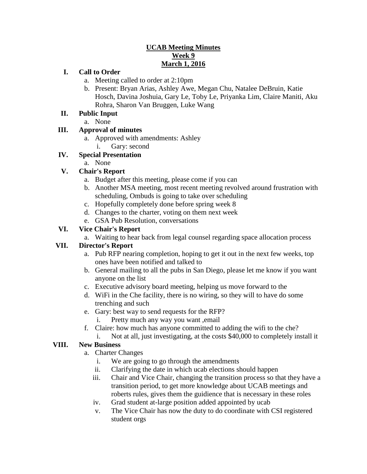## **UCAB Meeting Minutes Week 9 March 1, 2016**

### **I. Call to Order**

- a. Meeting called to order at 2:10pm
- b. Present: Bryan Arias, Ashley Awe, Megan Chu, Natalee DeBruin, Katie Hosch, Davina Joshuia, Gary Le, Toby Le, Priyanka Lim, Claire Maniti, Aku Rohra, Sharon Van Bruggen, Luke Wang

### **II. Public Input**

a. None

## **III. Approval of minutes**

a. Approved with amendments: Ashley i. Gary: second

# **IV. Special Presentation**

a. None

# **V. Chair's Report**

- a. Budget after this meeting, please come if you can
- b. Another MSA meeting, most recent meeting revolved around frustration with scheduling, Ombuds is going to take over scheduling
- c. Hopefully completely done before spring week 8
- d. Changes to the charter, voting on them next week
- e. GSA Pub Resolution, conversations

## **VI. Vice Chair's Report**

a. Waiting to hear back from legal counsel regarding space allocation process

### **VII. Director's Report**

- a. Pub RFP nearing completion, hoping to get it out in the next few weeks, top ones have been notified and talked to
- b. General mailing to all the pubs in San Diego, please let me know if you want anyone on the list
- c. Executive advisory board meeting, helping us move forward to the
- d. WiFi in the Che facility, there is no wiring, so they will to have do some trenching and such
- e. Gary: best way to send requests for the RFP?
	- i. Pretty much any way you want ,email
- f. Claire: how much has anyone committed to adding the wifi to the che?
- i. Not at all, just investigating, at the costs \$40,000 to completely install it

### **VIII. New Business**

- a. Charter Changes
	- i. We are going to go through the amendments
	- ii. Clarifying the date in which ucab elections should happen
	- iii. Chair and Vice Chair, changing the transition process so that they have a transition period, to get more knowledge about UCAB meetings and roberts rules, gives them the guidience that is necessary in these roles
	- iv. Grad student at-large position added appointed by ucab
	- v. The Vice Chair has now the duty to do coordinate with CSI registered student orgs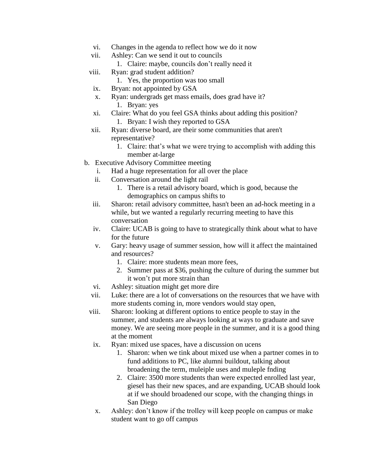- vi. Changes in the agenda to reflect how we do it now
- vii. Ashley: Can we send it out to councils
	- 1. Claire: maybe, councils don't really need it
- viii. Ryan: grad student addition?
	- 1. Yes, the proportion was too small
- ix. Bryan: not appointed by GSA
- x. Ryan: undergrads get mass emails, does grad have it? 1. Bryan: yes
- xi. Claire: What do you feel GSA thinks about adding this position? 1. Bryan: I wish they reported to GSA
- xii. Ryan: diverse board, are their some communities that aren't representative?
	- 1. Claire: that's what we were trying to accomplish with adding this member at-large
- b. Executive Advisory Committee meeting
	- i. Had a huge representation for all over the place
	- ii. Conversation around the light rail
		- 1. There is a retail advisory board, which is good, because the demographics on campus shifts to
	- iii. Sharon: retail advisory committee, hasn't been an ad-hock meeting in a while, but we wanted a regularly recurring meeting to have this conversation
	- iv. Claire: UCAB is going to have to strategically think about what to have for the future
	- v. Gary: heavy usage of summer session, how will it affect the maintained and resources?
		- 1. Claire: more students mean more fees,
		- 2. Summer pass at \$36, pushing the culture of during the summer but it won't put more strain than
	- vi. Ashley: situation might get more dire
	- vii. Luke: there are a lot of conversations on the resources that we have with more students coming in, more vendors would stay open,
	- viii. Sharon: looking at different options to entice people to stay in the summer, and students are always looking at ways to graduate and save money. We are seeing more people in the summer, and it is a good thing at the moment
		- ix. Ryan: mixed use spaces, have a discussion on ucens
			- 1. Sharon: when we tink about mixed use when a partner comes in to fund additions to PC, like alumni buildout, talking about broadening the term, muleiple uses and muleple fnding
			- 2. Claire: 3500 more students than were expected enrolled last year, giesel has their new spaces, and are expanding, UCAB should look at if we should broadened our scope, with the changing things in San Diego
		- x. Ashley: don't know if the trolley will keep people on campus or make student want to go off campus